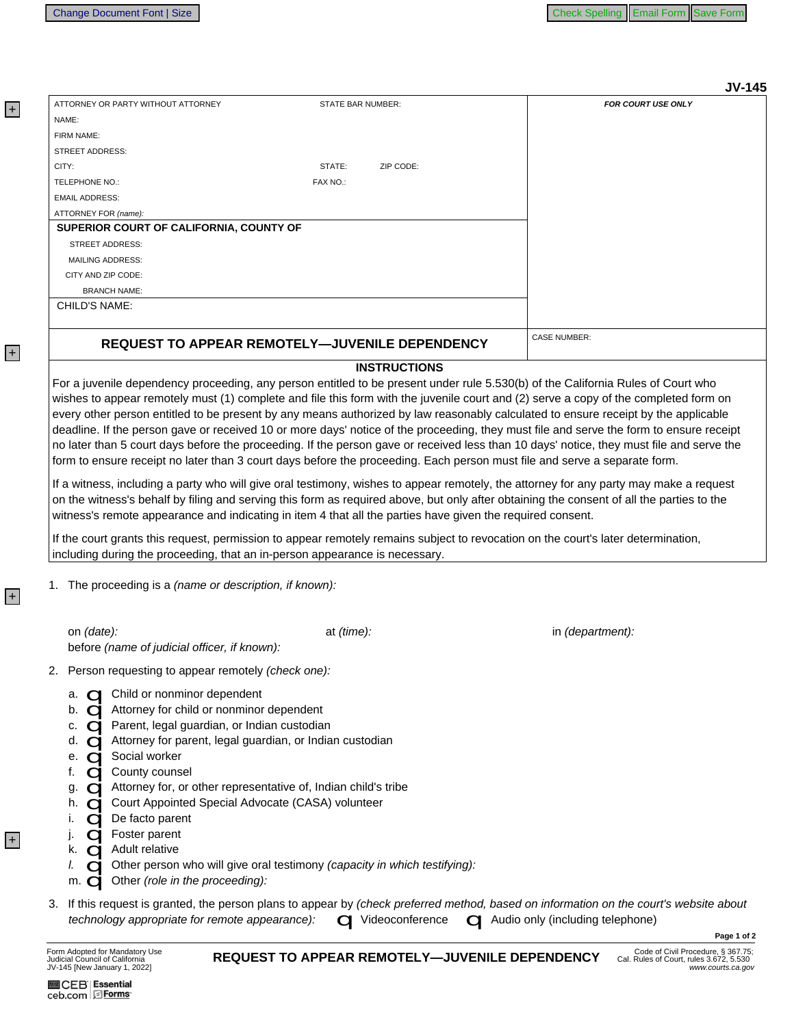| ATTORNEY OR PARTY WITHOUT ATTORNEY                                                                                                     |                                                                                                                                   |                                                                                                                                           |
|----------------------------------------------------------------------------------------------------------------------------------------|-----------------------------------------------------------------------------------------------------------------------------------|-------------------------------------------------------------------------------------------------------------------------------------------|
|                                                                                                                                        | <b>STATE BAR NUMBER:</b>                                                                                                          | <b>FOR COURT USE ONLY</b>                                                                                                                 |
| NAME:                                                                                                                                  |                                                                                                                                   |                                                                                                                                           |
| FIRM NAME:                                                                                                                             |                                                                                                                                   |                                                                                                                                           |
| <b>STREET ADDRESS:</b>                                                                                                                 |                                                                                                                                   |                                                                                                                                           |
| CITY:                                                                                                                                  | STATE:<br>ZIP CODE:                                                                                                               |                                                                                                                                           |
| TELEPHONE NO.:                                                                                                                         | FAX NO.:                                                                                                                          |                                                                                                                                           |
| <b>EMAIL ADDRESS:</b>                                                                                                                  |                                                                                                                                   |                                                                                                                                           |
| ATTORNEY FOR (name):                                                                                                                   |                                                                                                                                   |                                                                                                                                           |
| SUPERIOR COURT OF CALIFORNIA, COUNTY OF                                                                                                |                                                                                                                                   |                                                                                                                                           |
| STREET ADDRESS:                                                                                                                        |                                                                                                                                   |                                                                                                                                           |
| <b>MAILING ADDRESS:</b>                                                                                                                |                                                                                                                                   |                                                                                                                                           |
| CITY AND ZIP CODE:<br><b>BRANCH NAME:</b>                                                                                              |                                                                                                                                   |                                                                                                                                           |
| <b>CHILD'S NAME:</b>                                                                                                                   |                                                                                                                                   |                                                                                                                                           |
|                                                                                                                                        |                                                                                                                                   |                                                                                                                                           |
|                                                                                                                                        | <b>REQUEST TO APPEAR REMOTELY-JUVENILE DEPENDENCY</b>                                                                             | <b>CASE NUMBER:</b>                                                                                                                       |
|                                                                                                                                        | <b>INSTRUCTIONS</b>                                                                                                               |                                                                                                                                           |
|                                                                                                                                        |                                                                                                                                   | For a juvenile dependency proceeding, any person entitled to be present under rule 5.530(b) of the California Rules of Court who          |
|                                                                                                                                        |                                                                                                                                   | wishes to appear remotely must (1) complete and file this form with the juvenile court and (2) serve a copy of the completed form on      |
|                                                                                                                                        |                                                                                                                                   | every other person entitled to be present by any means authorized by law reasonably calculated to ensure receipt by the applicable        |
|                                                                                                                                        |                                                                                                                                   | deadline. If the person gave or received 10 or more days' notice of the proceeding, they must file and serve the form to ensure receipt   |
|                                                                                                                                        |                                                                                                                                   | no later than 5 court days before the proceeding. If the person gave or received less than 10 days' notice, they must file and serve the  |
|                                                                                                                                        | form to ensure receipt no later than 3 court days before the proceeding. Each person must file and serve a separate form.         |                                                                                                                                           |
|                                                                                                                                        |                                                                                                                                   | If a witness, including a party who will give oral testimony, wishes to appear remotely, the attorney for any party may make a request    |
|                                                                                                                                        |                                                                                                                                   | on the witness's behalf by filing and serving this form as required above, but only after obtaining the consent of all the parties to the |
|                                                                                                                                        |                                                                                                                                   |                                                                                                                                           |
|                                                                                                                                        | witness's remote appearance and indicating in item 4 that all the parties have given the required consent.                        |                                                                                                                                           |
|                                                                                                                                        |                                                                                                                                   |                                                                                                                                           |
|                                                                                                                                        | If the court grants this request, permission to appear remotely remains subject to revocation on the court's later determination, |                                                                                                                                           |
|                                                                                                                                        |                                                                                                                                   |                                                                                                                                           |
|                                                                                                                                        |                                                                                                                                   |                                                                                                                                           |
| including during the proceeding, that an in-person appearance is necessary.<br>1. The proceeding is a (name or description, if known): |                                                                                                                                   |                                                                                                                                           |
|                                                                                                                                        |                                                                                                                                   |                                                                                                                                           |
| on <i>(date)</i> :<br>before (name of judicial officer, if known):                                                                     | at $(time)$ :                                                                                                                     | in (department):                                                                                                                          |
|                                                                                                                                        |                                                                                                                                   |                                                                                                                                           |
|                                                                                                                                        |                                                                                                                                   |                                                                                                                                           |
| a. $\Box$ Child or nonminor dependent                                                                                                  |                                                                                                                                   |                                                                                                                                           |
| ci Attorney for child or nonminor dependent<br>b.                                                                                      |                                                                                                                                   |                                                                                                                                           |
| Parent, legal guardian, or Indian custodian<br>c.                                                                                      |                                                                                                                                   |                                                                                                                                           |
| Attorney for parent, legal guardian, or Indian custodian<br>d.                                                                         |                                                                                                                                   |                                                                                                                                           |
| Social worker<br>е.                                                                                                                    |                                                                                                                                   |                                                                                                                                           |
| County counsel<br>t.                                                                                                                   |                                                                                                                                   |                                                                                                                                           |
| Attorney for, or other representative of, Indian child's tribe<br>g.                                                                   |                                                                                                                                   |                                                                                                                                           |
| Court Appointed Special Advocate (CASA) volunteer<br>h.                                                                                |                                                                                                                                   |                                                                                                                                           |
| De facto parent<br>ı.                                                                                                                  |                                                                                                                                   |                                                                                                                                           |
| Foster parent                                                                                                                          |                                                                                                                                   |                                                                                                                                           |
| Adult relative<br>ĸ.                                                                                                                   |                                                                                                                                   |                                                                                                                                           |
| I.                                                                                                                                     | Other person who will give oral testimony (capacity in which testifying):                                                         |                                                                                                                                           |
| Other (role in the proceeding):<br>m. $\epsilon$                                                                                       |                                                                                                                                   |                                                                                                                                           |
| 2. Person requesting to appear remotely (check one):                                                                                   |                                                                                                                                   | 3. If this request is granted, the person plans to appear by (check preferred method, based on information on the court's website about   |
| technology appropriate for remote appearance):                                                                                         | <b>C</b> Videoconference                                                                                                          | Audio only (including telephone)<br>Page 1 of 2                                                                                           |

+

+

+

+